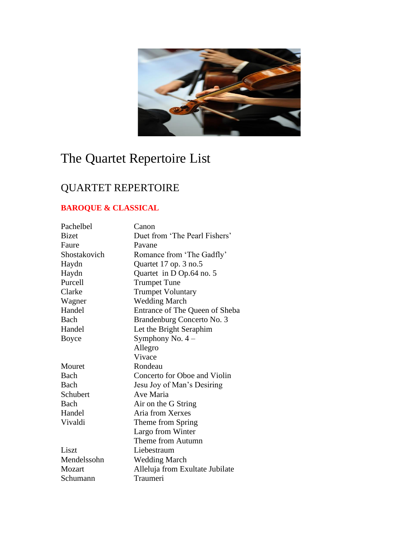

# The Quartet Repertoire List

# QUARTET REPERTOIRE

# **BAROQUE & CLASSICAL**

| Pachelbel    | Canon                           |
|--------------|---------------------------------|
| <b>Bizet</b> | Duet from 'The Pearl Fishers'   |
| Faure        | Pavane                          |
| Shostakovich | Romance from 'The Gadfly'       |
| Haydn        | Quartet 17 op. 3 no.5           |
| Haydn        | Quartet in D Op.64 no. 5        |
| Purcell      | <b>Trumpet Tune</b>             |
| Clarke       | <b>Trumpet Voluntary</b>        |
| Wagner       | <b>Wedding March</b>            |
| Handel       | Entrance of The Queen of Sheba  |
| Bach         | Brandenburg Concerto No. 3      |
| Handel       | Let the Bright Seraphim         |
| Boyce        | Symphony No. $4-$               |
|              | Allegro                         |
|              | Vivace                          |
| Mouret       | Rondeau                         |
| Bach         | Concerto for Oboe and Violin    |
| Bach         | Jesu Joy of Man's Desiring      |
| Schubert     | Ave Maria                       |
| Bach         | Air on the G String             |
| Handel       | Aria from Xerxes                |
| Vivaldi      | Theme from Spring               |
|              | Largo from Winter               |
|              | Theme from Autumn               |
| Liszt        | Liebestraum                     |
| Mendelssohn  | <b>Wedding March</b>            |
| Mozart       | Alleluja from Exultate Jubilate |
| Schumann     | Traumeri                        |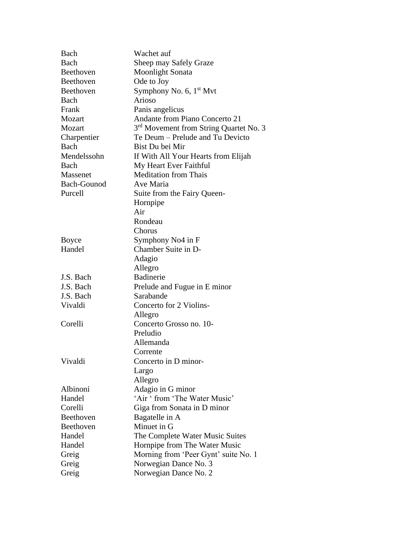| Bach        | Wachet auf                                         |
|-------------|----------------------------------------------------|
| Bach        | Sheep may Safely Graze                             |
| Beethoven   | <b>Moonlight Sonata</b>                            |
| Beethoven   | Ode to Joy                                         |
| Beethoven   | Symphony No. 6, 1 <sup>st</sup> Mvt                |
| Bach        | Arioso                                             |
| Frank       | Panis angelicus                                    |
| Mozart      | Andante from Piano Concerto 21                     |
| Mozart      | 3 <sup>rd</sup> Movement from String Quartet No. 3 |
| Charpentier | Te Deum – Prelude and Tu Devicto                   |
| Bach        | Bist Du bei Mir                                    |
| Mendelssohn | If With All Your Hearts from Elijah                |
| Bach        | My Heart Ever Faithful                             |
| Massenet    | <b>Meditation from Thais</b>                       |
| Bach-Gounod | Ave Maria                                          |
| Purcell     | Suite from the Fairy Queen-                        |
|             | Hornpipe                                           |
|             | Air                                                |
|             | Rondeau                                            |
|             | Chorus                                             |
| Boyce       | Symphony No4 in F                                  |
| Handel      | Chamber Suite in D-                                |
|             | Adagio                                             |
|             | Allegro                                            |
| J.S. Bach   | Badinerie                                          |
| J.S. Bach   | Prelude and Fugue in E minor                       |
| J.S. Bach   | Sarabande                                          |
| Vivaldi     | Concerto for 2 Violins-                            |
|             | Allegro                                            |
| Corelli     | Concerto Grosso no. 10-                            |
|             | Preludio                                           |
|             | Allemanda                                          |
|             | Corrente                                           |
| Vivaldi     | Concerto in D minor-                               |
|             | Largo                                              |
|             | Allegro                                            |
| Albinoni    | Adagio in G minor                                  |
| Handel      | 'Air ' from 'The Water Music'                      |
| Corelli     | Giga from Sonata in D minor                        |
| Beethoven   | Bagatelle in A                                     |
| Beethoven   | Minuet in G                                        |
| Handel      | The Complete Water Music Suites                    |
| Handel      | Hornpipe from The Water Music                      |
| Greig       | Morning from 'Peer Gynt' suite No. 1               |
| Greig       | Norwegian Dance No. 3                              |
| Greig       | Norwegian Dance No. 2                              |
|             |                                                    |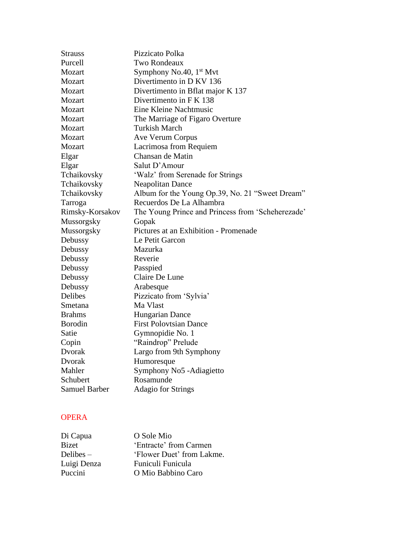| <b>Strauss</b>       | Pizzicato Polka                                   |
|----------------------|---------------------------------------------------|
| Purcell              | Two Rondeaux                                      |
| Mozart               | Symphony No.40, $1st Mvt$                         |
| Mozart               | Divertimento in D KV 136                          |
| Mozart               | Divertimento in Bflat major K 137                 |
| Mozart               | Divertimento in F K 138                           |
| Mozart               | Eine Kleine Nachtmusic                            |
| Mozart               | The Marriage of Figaro Overture                   |
| Mozart               | <b>Turkish March</b>                              |
| Mozart               | Ave Verum Corpus                                  |
| Mozart               | Lacrimosa from Requiem                            |
| Elgar                | Chansan de Matin                                  |
| Elgar                | Salut D'Amour                                     |
| Tchaikovsky          | 'Walz' from Serenade for Strings                  |
| Tchaikovsky          | <b>Neapolitan Dance</b>                           |
| Tchaikovsky          | Album for the Young Op.39, No. 21 "Sweet Dream"   |
| Tarroga              | Recuerdos De La Alhambra                          |
| Rimsky-Korsakov      | The Young Prince and Princess from 'Scheherezade' |
| Mussorgsky           | Gopak                                             |
| Mussorgsky           | Pictures at an Exhibition - Promenade             |
| Debussy              | Le Petit Garcon                                   |
| Debussy              | Mazurka                                           |
| Debussy              | Reverie                                           |
| Debussy              | Passpied                                          |
| Debussy              | Claire De Lune                                    |
| Debussy              | Arabesque                                         |
| Delibes              | Pizzicato from 'Sylvia'                           |
| Smetana              | Ma Vlast                                          |
| <b>Brahms</b>        | Hungarian Dance                                   |
| <b>Borodin</b>       | <b>First Polovtsian Dance</b>                     |
| Satie                | Gymnopidie No. 1                                  |
| Copin                | "Raindrop" Prelude                                |
| Dvorak               | Largo from 9th Symphony                           |
| Dvorak               | Humoresque                                        |
| Mahler               | Symphony No5 - Adiagietto                         |
| Schubert             | Rosamunde                                         |
| <b>Samuel Barber</b> | <b>Adagio for Strings</b>                         |

# OPERA

| Di Capua    | O Sole Mio                |
|-------------|---------------------------|
| Bizet       | 'Entracte' from Carmen    |
| Delibes –   | 'Flower Duet' from Lakme. |
| Luigi Denza | Funiculi Funicula         |
| Puccini     | O Mio Babbino Caro        |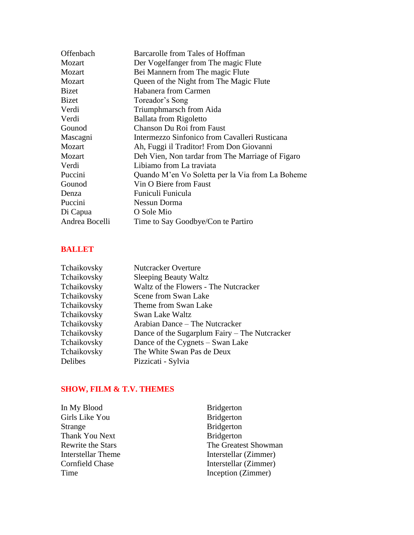| Offenbach      | Barcarolle from Tales of Hoffman                 |
|----------------|--------------------------------------------------|
| Mozart         | Der Vogelfanger from The magic Flute             |
| Mozart         | Bei Mannern from The magic Flute                 |
| Mozart         | Queen of the Night from The Magic Flute          |
| Bizet          | Habanera from Carmen                             |
| <b>Bizet</b>   | Toreador's Song                                  |
| Verdi          | Triumphmarsch from Aida                          |
| Verdi          | Ballata from Rigoletto                           |
| Gounod         | <b>Chanson Du Roi from Faust</b>                 |
| Mascagni       | Intermezzo Sinfonico from Cavalleri Rusticana    |
| Mozart         | Ah, Fuggi il Traditor! From Don Giovanni         |
| Mozart         | Deh Vien, Non tardar from The Marriage of Figaro |
| Verdi          | Libiamo from La traviata                         |
| Puccini        | Quando M'en Vo Soletta per la Via from La Boheme |
| Gounod         | Vin O Biere from Faust                           |
| Denza          | Funiculi Funicula                                |
| Puccini        | Nessun Dorma                                     |
| Di Capua       | O Sole Mio                                       |
| Andrea Bocelli | Time to Say Goodbye/Con te Partiro               |
|                |                                                  |

### **BALLET**

| Tchaikovsky | <b>Nutcracker Overture</b>                    |
|-------------|-----------------------------------------------|
| Tchaikovsky | <b>Sleeping Beauty Waltz</b>                  |
| Tchaikovsky | Waltz of the Flowers - The Nutcracker         |
| Tchaikovsky | Scene from Swan Lake                          |
| Tchaikovsky | Theme from Swan Lake                          |
| Tchaikovsky | Swan Lake Waltz                               |
| Tchaikovsky | Arabian Dance – The Nutcracker                |
| Tchaikovsky | Dance of the Sugarplum Fairy – The Nutcracker |
| Tchaikovsky | Dance of the Cygnets – Swan Lake              |
| Tchaikovsky | The White Swan Pas de Deux                    |
| Delibes     | Pizzicati - Sylvia                            |

## **SHOW, FILM & T.V. THEMES**

| <b>Bridgerton</b>     |
|-----------------------|
| <b>Bridgerton</b>     |
| <b>Bridgerton</b>     |
| <b>Bridgerton</b>     |
| The Greatest Showman  |
| Interstellar (Zimmer) |
| Interstellar (Zimmer) |
| Inception (Zimmer)    |
|                       |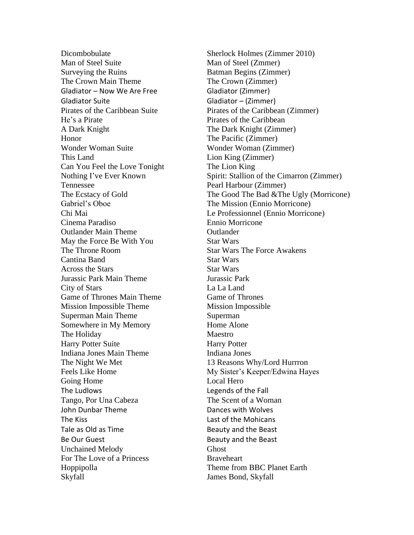Man of Steel Suite Man of Steel (Zmmer) Surveying the Ruins Batman Begins (Zimmer) The Crown Main Theme The Crown (Zimmer) Gladiator – Now We Are Free Gladiator (Zimmer) Gladiator Suite Gladiator – (Zimmer) He's a Pirate Pirates of the Caribbean A Dark Knight The Dark Knight (Zimmer) Honor The Pacific (Zimmer) Wonder Woman Suite Wonder Woman (Zimmer) This Land Lion King (Zimmer) Can You Feel the Love Tonight The Lion King Tennessee Pearl Harbour (Zimmer) Gabriel's Oboe The Mission (Ennio Morricone) Cinema Paradiso Ennio Morricone Outlander Main Theme Outlander May the Force Be With You Star Wars The Throne Room Star Wars The Force Awakens Cantina Band Star Wars Across the Stars Star Wars Jurassic Park Main Theme Jurassic Park City of Stars La La Land Game of Thrones Main Theme Game of Thrones Mission Impossible Theme Mission Impossible Superman Main Theme Superman Somewhere in My Memory Home Alone The Holiday Maestro Harry Potter Suite Harry Potter Indiana Jones Main Theme Indiana Jones The Night We Met 13 Reasons Why/Lord Hurrron Going Home Local Hero The Ludlows Legends of the Fall Tango, Por Una Cabeza The Scent of a Woman John Dunbar Theme **Dances with Wolves** The Kiss **Last of the Mohicans** Tale as Old as Time **Beauty** and the Beast Be Our Guest **Beauty** and the Beast Unchained Melody Ghost For The Love of a Princess Braveheart Hoppipolla Theme from BBC Planet Earth Skyfall James Bond, Skyfall

Dicombobulate Sherlock Holmes (Zimmer 2010) Pirates of the Caribbean Suite Pirates of the Caribbean (Zimmer) Nothing I've Ever Known Spirit: Stallion of the Cimarron (Zimmer) The Ecstacy of Gold The Good The Bad & The Ugly (Morricone) Chi Mai Le Professionnel (Ennio Morricone) Feels Like Home My Sister's Keeper/Edwina Hayes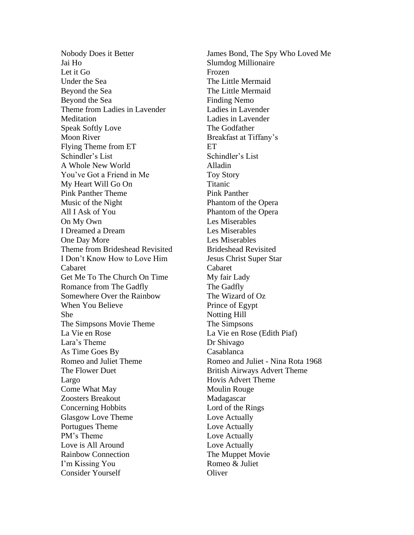Jai Ho Slumdog Millionaire Let it Go Frozen Under the Sea The Little Mermaid Beyond the Sea The Little Mermaid Beyond the Sea Finding Nemo Theme from Ladies in Lavender Ladies in Lavender Meditation Ladies in Lavender Speak Softly Love The Godfather Moon River Breakfast at Tiffany's Flying Theme from ET ET Schindler's List Schindler's List A Whole New World Alladin You've Got a Friend in Me Toy Story My Heart Will Go On Titanic Pink Panther Theme Pink Panther Music of the Night Phantom of the Opera All I Ask of You Phantom of the Opera On My Own Les Miserables I Dreamed a Dream Les Miserables One Day More Les Miserables Theme from Brideshead Revisited Brideshead Revisited I Don't Know How to Love Him Jesus Christ Super Star Cabaret Cabaret Get Me To The Church On Time My fair Lady Romance from The Gadfly The Gadfly Somewhere Over the Rainbow The Wizard of Oz When You Believe **Prince of Egypt** She Notting Hill The Simpsons Movie Theme The Simpsons La Vie en Rose La Vie en Rose (Edith Piaf) Lara's Theme Dr Shivago As Time Goes By Casablanca The Flower Duet British Airways Advert Theme Largo Hovis Advert Theme Come What May Moulin Rouge Zoosters Breakout Madagascar Concerning Hobbits Lord of the Rings Glasgow Love Theme Love Actually Portugues Theme Love Actually PM's Theme Love Actually Love is All Around Love Actually Rainbow Connection The Muppet Movie I'm Kissing You Romeo & Juliet Consider Yourself Consider Number

Nobody Does it Better **Figure 3** James Bond, The Spy Who Loved Me Romeo and Juliet Theme Romeo and Juliet - Nina Rota 1968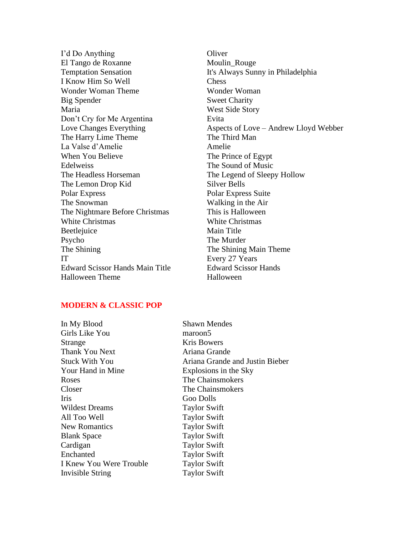I'd Do Anything Oliver El Tango de Roxanne Moulin\_Rouge I Know Him So Well Chess Wonder Woman Theme Wonder Woman Big Spender Sweet Charity Maria West Side Story Don't Cry for Me Argentina Evita The Harry Lime Theme The Third Man La Valse d'Amelie Amelie When You Believe The Prince of Egypt Edelweiss The Sound of Music The Headless Horseman The Legend of Sleepy Hollow The Lemon Drop Kid Silver Bells Polar Express Polar Express Suite The Snowman Walking in the Air The Nightmare Before Christmas This is Halloween White Christmas White Christmas Beetlejuice Main Title Psycho The Murder The Shining The Shining Main Theme IT Every 27 Years Edward Scissor Hands Main Title Edward Scissor Hands Halloween Theme **Halloween** 

Temptation Sensation It's Always Sunny in Philadelphia Love Changes Everything Aspects of Love – Andrew Lloyd Webber

#### **MODERN & CLASSIC POP**

In My Blood Shawn Mendes Girls Like You maroon5 Strange Kris Bowers Thank You Next Ariana Grande Your Hand in Mine Explosions in the Sky Roses The Chainsmokers Closer The Chainsmokers Iris Goo Dolls Wildest Dreams Taylor Swift All Too Well Taylor Swift New Romantics Taylor Swift Blank Space Taylor Swift Cardigan Taylor Swift Enchanted Taylor Swift I Knew You Were Trouble Taylor Swift Invisible String Taylor Swift

Stuck With You Ariana Grande and Justin Bieber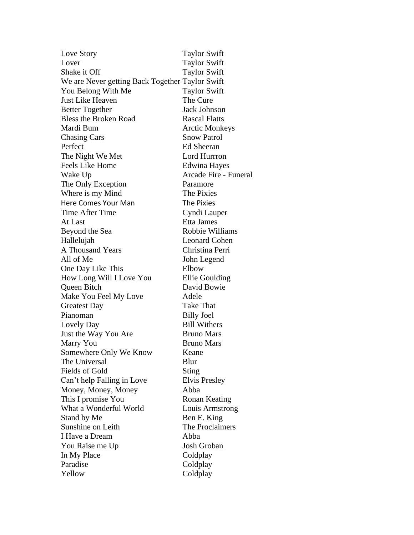Love Story Taylor Swift Lover Taylor Swift Shake it Off Taylor Swift We are Never getting Back Together Taylor Swift You Belong With Me Taylor Swift Just Like Heaven The Cure Better Together Jack Johnson Bless the Broken Road Rascal Flatts Mardi Bum **Arctic Monkeys** Chasing Cars Snow Patrol Perfect Ed Sheeran The Night We Met Lord Hurrron Feels Like Home Edwina Hayes Wake Up **Arcade Fire - Funeral** The Only Exception Paramore Where is my Mind The Pixies Here Comes Your Man The Pixies Time After Time Cyndi Lauper At Last Etta James Beyond the Sea Robbie Williams Hallelujah Leonard Cohen A Thousand Years Christina Perri All of Me John Legend One Day Like This Elbow How Long Will I Love You Ellie Goulding Queen Bitch David Bowie Make You Feel My Love Adele Greatest Day Take That Pianoman Billy Joel Lovely Day Bill Withers Just the Way You Are Bruno Mars Marry You Bruno Mars Somewhere Only We Know Keane The Universal Blur Fields of Gold Sting Can't help Falling in Love Elvis Presley Money, Money, Money Abba This I promise You Ronan Keating What a Wonderful World Louis Armstrong Stand by Me Ben E. King Sunshine on Leith The Proclaimers I Have a Dream Abba You Raise me Up Josh Groban In My Place Coldplay Paradise Coldplay Yellow Coldplay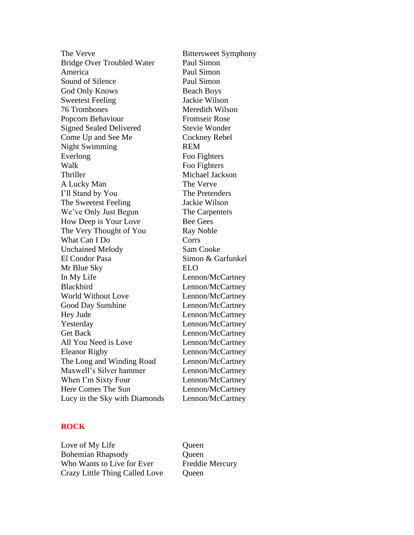The Verve Bittersweet Symphony Bridge Over Troubled Water Paul Simon America Paul Simon Sound of Silence Paul Simon God Only Knows Beach Boys Sweetest Feeling Jackie Wilson 76 Trombones Meredith Wilson Popcorn Behaviour Fromseir Rose Signed Sealed Delivered Stevie Wonder Come Up and See Me Cockney Rebel Night Swimming REM Everlong Foo Fighters Walk Foo Fighters Thriller Michael Jackson A Lucky Man The Verve I'll Stand by You The Pretenders The Sweetest Feeling Jackie Wilson We've Only Just Begun The Carpenters How Deep is Your Love Bee Gees The Very Thought of You Ray Noble What Can I Do Corrs Unchained Melody Sam Cooke El Condor Pasa Simon & Garfunkel Mr Blue Sky ELO In My Life Lennon/McCartney Blackbird Lennon/McCartney World Without Love Lennon/McCartney Good Day Sunshine Lennon/McCartney Hey Jude Lennon/McCartney Yesterday Lennon/McCartney Get Back Lennon/McCartney All You Need is Love Lennon/McCartney Eleanor Rigby Lennon/McCartney The Long and Winding Road Lennon/McCartney Maxwell's Silver hammer Lennon/McCartney When I'm Sixty Four Lennon/McCartney Here Comes The Sun Lennon/McCartney Lucy in the Sky with Diamonds Lennon/McCartney

#### **ROCK**

Love of My Life Queen Bohemian Rhapsody **Queen** Who Wants to Live for Ever Freddie Mercury Crazy Little Thing Called Love Queen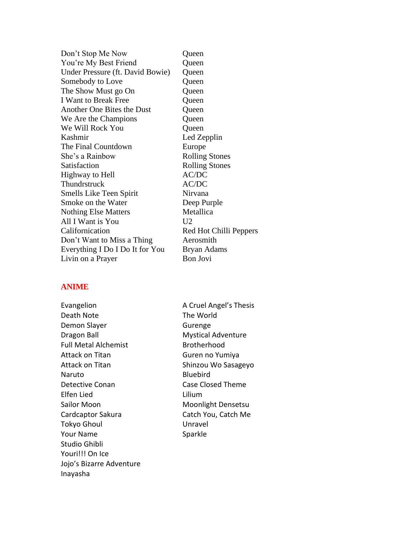| Don't Stop Me Now                | Queen                  |
|----------------------------------|------------------------|
| You're My Best Friend            | Queen                  |
| Under Pressure (ft. David Bowie) | Queen                  |
| Somebody to Love                 | Queen                  |
| The Show Must go On              | Queen                  |
| <b>I Want to Break Free</b>      | Queen                  |
| Another One Bites the Dust       | Queen                  |
| We Are the Champions             | Queen                  |
| We Will Rock You                 | Queen                  |
| Kashmir                          | Led Zepplin            |
| The Final Countdown              | Europe                 |
| She's a Rainbow                  | <b>Rolling Stones</b>  |
| Satisfaction                     | <b>Rolling Stones</b>  |
| Highway to Hell                  | AC/DC                  |
| Thundrstruck                     | AC/DC                  |
| Smells Like Teen Spirit          | Nirvana                |
| Smoke on the Water               | Deep Purple            |
| <b>Nothing Else Matters</b>      | Metallica              |
| All I Want is You                | U <sub>2</sub>         |
| Californication                  | Red Hot Chilli Peppers |
| Don't Want to Miss a Thing       | Aerosmith              |
| Everything I Do I Do It for You  | Bryan Adams            |
| Livin on a Prayer                | Bon Jovi               |
|                                  |                        |

#### **ANIME**

Evangelion **A Cruel Angel's Thesis** Death Note The World Demon Slayer Gurenge Dragon Ball **Mystical Adventure** Full Metal Alchemist Brotherhood Attack on Titan Guren no Yumiya Attack on Titan Shinzou Wo Sasageyo Naruto **Bluebird** Detective Conan Case Closed Theme Elfen Lied Lilium Sailor Moon Moonlight Densetsu Cardcaptor Sakura Catch You, Catch Me Tokyo Ghoul Unravel Your Name Sparkle Studio Ghibli Youri!!! On Ice Jojo's Bizarre Adventure Inayasha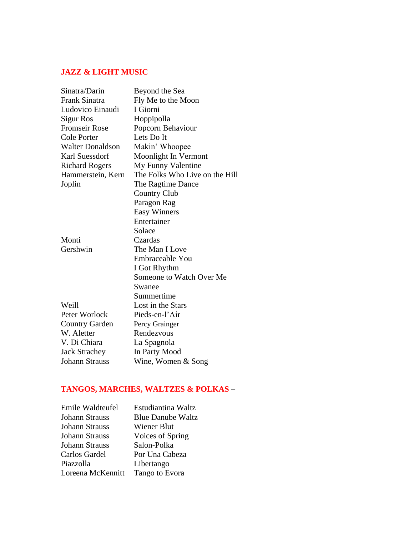## **JAZZ & LIGHT MUSIC**

| Sinatra/Darin           | Beyond the Sea                 |
|-------------------------|--------------------------------|
| Frank Sinatra           | Fly Me to the Moon             |
| Ludovico Einaudi        | I Giorni                       |
| Sigur Ros               | Hoppipolla                     |
| <b>Fromseir Rose</b>    | Popcorn Behaviour              |
| <b>Cole Porter</b>      | Lets Do It                     |
| <b>Walter Donaldson</b> | Makin' Whoopee                 |
| <b>Karl Suessdorf</b>   | Moonlight In Vermont           |
| <b>Richard Rogers</b>   | My Funny Valentine             |
| Hammerstein, Kern       | The Folks Who Live on the Hill |
| Joplin                  | The Ragtime Dance              |
|                         | <b>Country Club</b>            |
|                         | Paragon Rag                    |
|                         | <b>Easy Winners</b>            |
|                         | Entertainer                    |
|                         | Solace                         |
| Monti                   | Czardas                        |
| Gershwin                | The Man I Love                 |
|                         | Embraceable You                |
|                         | I Got Rhythm                   |
|                         | Someone to Watch Over Me       |
|                         | Swanee                         |
|                         | Summertime                     |
| Weill                   | Lost in the Stars              |
| Peter Worlock           | Pieds-en-l'Air                 |
| <b>Country Garden</b>   | Percy Grainger                 |
| W. Aletter              | Rendezvous                     |
| V. Di Chiara            | La Spagnola                    |
| <b>Jack Strachey</b>    | In Party Mood                  |
| <b>Johann Strauss</b>   | Wine, Women & Song             |

# **TANGOS, MARCHES, WALTZES & POLKAS** –

| Emile Waldteufel  | Estudiantina Waltz       |
|-------------------|--------------------------|
| Johann Strauss    | <b>Blue Danube Waltz</b> |
| Johann Strauss    | Wiener Blut              |
| Johann Strauss    | Voices of Spring         |
| Johann Strauss    | Salon-Polka              |
| Carlos Gardel     | Por Una Cabeza           |
| Piazzolla         | Libertango               |
| Loreena McKennitt | Tango to Evora           |
|                   |                          |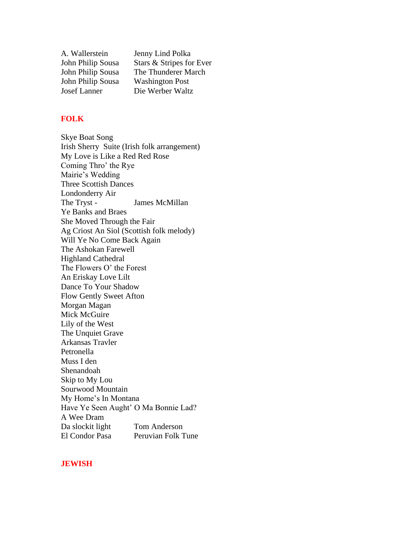| A. Wallerstein    | Jenny Lind Polka         |
|-------------------|--------------------------|
| John Philip Sousa | Stars & Stripes for Ever |
| John Philip Sousa | The Thunderer March      |
| John Philip Sousa | <b>Washington Post</b>   |
| Josef Lanner      | Die Werber Waltz         |

#### **FOLK**

Skye Boat Song Irish Sherry Suite (Irish folk arrangement) My Love is Like a Red Red Rose Coming Thro' the Rye Mairie's Wedding Three Scottish Dances Londonderry Air The Tryst - James McMillan Ye Banks and Braes She Moved Through the Fair Ag Criost An Siol (Scottish folk melody) Will Ye No Come Back Again The Ashokan Farewell Highland Cathedral The Flowers O' the Forest An Eriskay Love Lilt Dance To Your Shadow Flow Gently Sweet Afton Morgan Magan Mick McGuire Lily of the West The Unquiet Grave Arkansas Travler Petronella Muss I den Shenandoah Skip to My Lou Sourwood Mountain My Home's In Montana Have Ye Seen Aught' O Ma Bonnie Lad? A Wee Dram Da slockit light Tom Anderson<br>El Condor Pasa Peruvian Folk T Peruvian Folk Tune

#### **JEWISH**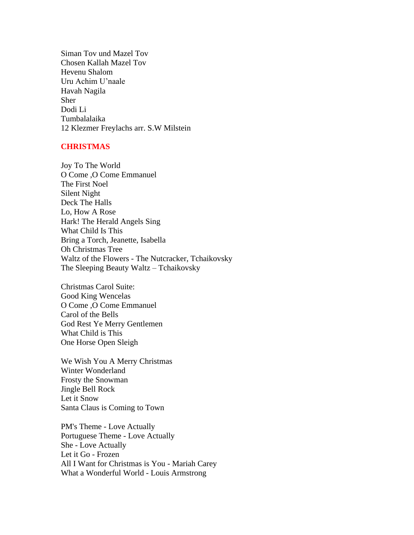Siman Tov und Mazel Tov Chosen Kallah Mazel Tov Hevenu Shalom Uru Achim U'naale Havah Nagila Sher Dodi Li Tumbalalaika 12 Klezmer Freylachs arr. S.W Milstein

#### **CHRISTMAS**

Joy To The World O Come ,O Come Emmanuel The First Noel Silent Night Deck The Halls Lo, How A Rose Hark! The Herald Angels Sing What Child Is This Bring a Torch, Jeanette, Isabella Oh Christmas Tree Waltz of the Flowers - The Nutcracker, Tchaikovsky The Sleeping Beauty Waltz – Tchaikovsky

Christmas Carol Suite: Good King Wencelas O Come ,O Come Emmanuel Carol of the Bells God Rest Ye Merry Gentlemen What Child is This One Horse Open Sleigh

We Wish You A Merry Christmas Winter Wonderland Frosty the Snowman Jingle Bell Rock Let it Snow Santa Claus is Coming to Town

PM's Theme - Love Actually Portuguese Theme - Love Actually She - Love Actually Let it Go - Frozen All I Want for Christmas is You - Mariah Carey What a Wonderful World - Louis Armstrong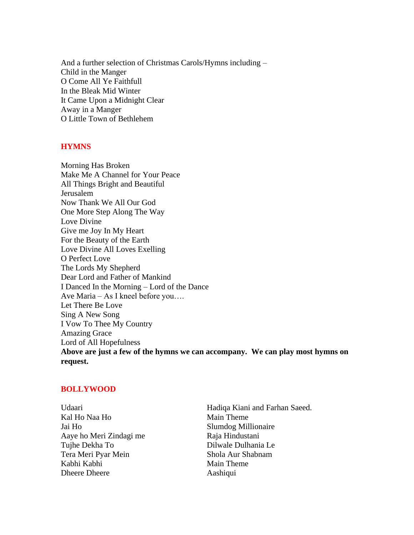And a further selection of Christmas Carols/Hymns including – Child in the Manger O Come All Ye Faithfull In the Bleak Mid Winter It Came Upon a Midnight Clear Away in a Manger O Little Town of Bethlehem

#### **HYMNS**

Morning Has Broken Make Me A Channel for Your Peace All Things Bright and Beautiful Jerusalem Now Thank We All Our God One More Step Along The Way Love Divine Give me Joy In My Heart For the Beauty of the Earth Love Divine All Loves Exelling O Perfect Love The Lords My Shepherd Dear Lord and Father of Mankind I Danced In the Morning – Lord of the Dance Ave Maria – As I kneel before you…. Let There Be Love Sing A New Song I Vow To Thee My Country Amazing Grace Lord of All Hopefulness **Above are just a few of the hymns we can accompany. We can play most hymns on request.**

#### **BOLLYWOOD**

| Udaari                  | Hadiqa Kiani and Farhan Saeed. |
|-------------------------|--------------------------------|
| Kal Ho Naa Ho           | Main Theme                     |
| Jai Ho                  | Slumdog Millionaire            |
| Aaye ho Meri Zindagi me | Raja Hindustani                |
| Tujhe Dekha To          | Dilwale Dulhania Le            |
| Tera Meri Pyar Mein     | Shola Aur Shabnam              |
| Kabhi Kabhi             | Main Theme                     |
| <b>Dheere Dheere</b>    | Aashiqui                       |